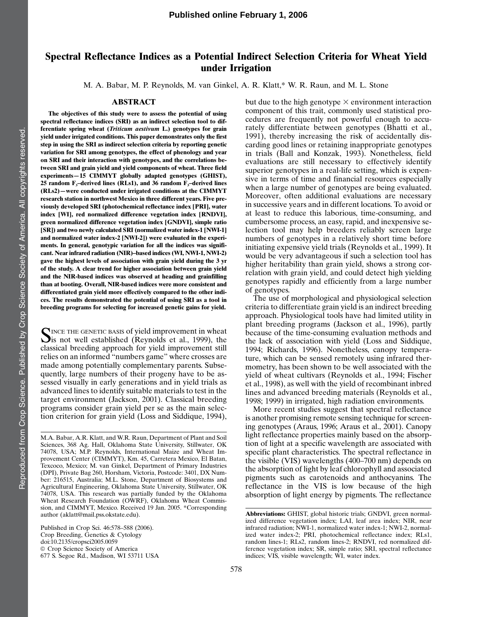# Spectral Reflectance Indices as a Potential Indirect Selection Criteria for Wheat Yield under Irrigation

M. A. Babar, M. P. Reynolds, M. van Ginkel, A. R. Klatt,\* W. R. Raun, and M. L. Stone

### ABSTRACT

The objectives of this study were to assess the potential of using spectral reflectance indices (SRI) as an indirect selection tool to differentiate spring wheat (Triticum aestivum L.) genotypes for grain yield under irrigated conditions. This paper demonstrates only the first step in using the SRI as indirect selection criteria by reporting genetic variation for SRI among genotypes, the effect of phenology and year on SRI and their interaction with genotypes, and the correlations between SRI and grain yield and yield components of wheat. Three field experiments—15 CIMMYT globally adapted genotypes (GHIST), 25 random  $F_3$ -derived lines (RLs1), and 36 random  $F_3$ -derived lines (RLs2)—were conducted under irrigated conditions at the CIMMYT research station in northwest Mexico in three different years. Five previously developed SRI (photochemical reflectance index [PRI], water index [WI], red normalized difference vegetation index [RNDVI], green normalized difference vegetation index [GNDVI], simple ratio [SR]) and two newly calculated SRI (normalized water index-1 [NWI-1] and normalized water index-2 [NWI-2]) were evaluated in the experiments. In general, genotypic variation for all the indices was significant. Near infrared radiation (NIR)–based indices (WI, NWI-1, NWI-2) gave the highest levels of association with grain yield during the 3 yr of the study. A clear trend for higher association between grain yield and the NIR-based indices was observed at heading and grainfilling than at booting. Overall, NIR-based indices were more consistent and differentiated grain yield more effectively compared to the other indices. The results demonstrated the potential of using SRI as a tool in breeding programs for selecting for increased genetic gains for yield.

SINCE THE GENETIC BASIS of yield improvement in wheat<br>is not well established (Reynolds et al., 1999), the classical breeding approach for yield improvement still relies on an informed "numbers game" where crosses are made among potentially complementary parents. Subsequently, large numbers of their progeny have to be assessed visually in early generations and in yield trials as advanced lines to identify suitable materials to test in the target environment (Jackson, 2001). Classical breeding programs consider grain yield per se as the main selection criterion for grain yield (Loss and Siddique, 1994),

but due to the high genotype  $\times$  environment interaction component of this trait, commonly used statistical procedures are frequently not powerful enough to accurately differentiate between genotypes (Bhatti et al., 1991), thereby increasing the risk of accidentally discarding good lines or retaining inappropriate genotypes in trials (Ball and Konzak, 1993). Nonetheless, field evaluations are still necessary to effectively identify superior genotypes in a real-life setting, which is expensive in terms of time and financial resources especially when a large number of genotypes are being evaluated. Moreover, often additional evaluations are necessary in successive years and in different locations. To avoid or at least to reduce this laborious, time-consuming, and cumbersome process, an easy, rapid, and inexpensive selection tool may help breeders reliably screen large numbers of genotypes in a relatively short time before initiating expensive yield trials (Reynolds et al., 1999). It would be very advantageous if such a selection tool has higher heritability than grain yield, shows a strong correlation with grain yield, and could detect high yielding genotypes rapidly and efficiently from a large number of genotypes.

The use of morphological and physiological selection criteria to differentiate grain yield is an indirect breeding approach. Physiological tools have had limited utility in plant breeding programs (Jackson et al., 1996), partly because of the time-consuming evaluation methods and the lack of association with yield (Loss and Siddique, 1994; Richards, 1996). Nonetheless, canopy temperature, which can be sensed remotely using infrared thermometry, has been shown to be well associated with the yield of wheat cultivars (Reynolds et al., 1994; Fischer et al., 1998), as well with the yield of recombinant inbred lines and advanced breeding materials (Reynolds et al., 1998; 1999) in irrigated, high radiation environments.

More recent studies suggest that spectral reflectance is another promising remote sensing technique for screening genotypes (Araus, 1996; Araus et al., 2001). Canopy light reflectance properties mainly based on the absorption of light at a specific wavelength are associated with specific plant characteristics. The spectral reflectance in the visible (VIS) wavelengths (400–700 nm) depends on the absorption of light by leaf chlorophyll and associated pigments such as carotenoids and anthocyanins. The reflectance in the VIS is low because of the high absorption of light energy by pigments. The reflectance

M.A. Babar, A.R. Klatt, and W.R. Raun, Department of Plant and Soil Sciences, 368 Ag. Hall, Oklahoma State University, Stillwater, OK 74078, USA; M.P. Reynolds, International Maize and Wheat Improvement Center (CIMMYT), Km. 45, Carretera Mexico, El Batan, Texcoco, Mexico; M. van Ginkel, Department of Primary Industries (DPI), Private Bag 260, Horsham, Victoria, Postcode: 3401, DX Number: 216515, Australia; M.L. Stone, Department of Biosystems and Agricultural Engineering, Oklahoma State University, Stillwater, OK 74078, USA. This research was partially funded by the Oklahoma Wheat Research Foundation (OWRF), Oklahoma Wheat Commission, and CIMMYT, Mexico. Received 19 Jan. 2005. \*Corresponding author (aklatt@mail.pss.okstate.edu).

Published in Crop Sci. 46:578–588 (2006). Crop Breeding, Genetics & Cytology doi:10.2135/cropsci2005.0059  $©$  Crop Science Society of America 677 S. Segoe Rd., Madison, WI 53711 USA

Abbreviations: GHIST, global historic trials; GNDVI, green normalized difference vegetation index; LAI, leaf area index; NIR, near infrared radiation; NWI-1, normalized water index-1; NWI-2, normalized water index-2; PRI, photochemical reflectance index; RLs1, random lines-1; RLs2, random lines-2; RNDVI, red normalized difference vegetation index; SR, simple ratio; SRI, spectral reflectance indices; VIS, visible wavelength; WI, water index.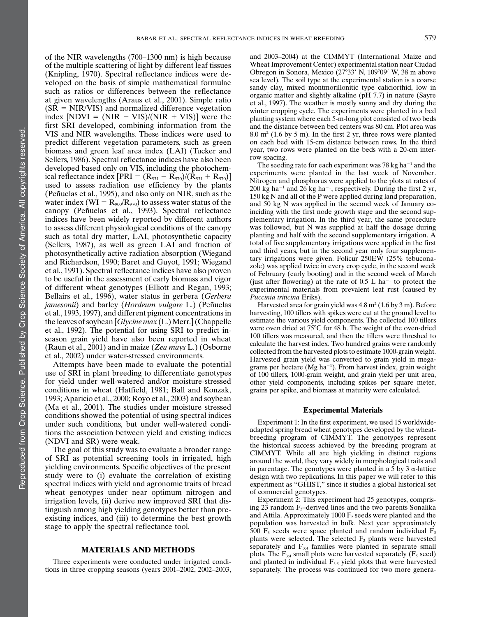of the NIR wavelengths (700–1300 nm) is high because of the multiple scattering of light by different leaf tissues (Knipling, 1970). Spectral reflectance indices were developed on the basis of simple mathematical formulae such as ratios or differences between the reflectance at given wavelengths (Araus et al., 2001). Simple ratio  $(SR = NIR/VIS)$  and normalized difference vegetation index  $[NDVI = (NIR - VIS)/(NIR + VIS)]$  were the first SRI developed, combining information from the VIS and NIR wavelengths. These indices were used to predict different vegetation parameters, such as green biomass and green leaf area index (LAI) (Tucker and Sellers, 1986). Spectral reflectance indices have also been developed based only on VIS, including the photochemical reflectance index  $[PRI = (R_{531} - R_{570})/(R_{531} + R_{570})]$ used to assess radiation use efficiency by the plants (Peñuelas et al., 1995), and also only on NIR, such as the water index ( $WI = R_{900}/R_{970}$ ) to assess water status of the canopy (Peñuelas et al., 1993). Spectral reflectance indices have been widely reported by different authors to assess different physiological conditions of the canopy such as total dry matter, LAI, photosynthetic capacity (Sellers, 1987), as well as green LAI and fraction of photosynthetically active radiation absorption (Wiegand and Richardson, 1990; Baret and Guyot, 1991; Wiegand et al., 1991). Spectral reflectance indices have also proven to be useful in the assessment of early biomass and vigor of different wheat genotypes (Elliott and Regan, 1993; Bellairs et al., 1996), water status in gerbera (Gerbera jamesonii) and barley (Hordeum vulgare L.) (Peñuelas et al., 1993, 1997), and different pigment concentrations in the leaves of soybean  $[Glycine \, max(L.)$  Merr.] (Chappelle et al., 1992). The potential for using SRI to predict inseason grain yield have also been reported in wheat (Raun et al., 2001) and in maize (Zea mays L.) (Osborne et al., 2002) under water-stressed environments.

Attempts have been made to evaluate the potential use of SRI in plant breeding to differentiate genotypes for yield under well-watered and/or moisture-stressed conditions in wheat (Hatfield, 1981; Ball and Konzak, 1993; Aparicio et al., 2000; Royo et al., 2003) and soybean (Ma et al., 2001). The studies under moisture stressed conditions showed the potential of using spectral indices under such conditions, but under well-watered conditions the association between yield and existing indices (NDVI and SR) were weak.

The goal of this study was to evaluate a broader range of SRI as potential screening tools in irrigated, high yielding environments. Specific objectives of the present study were to (i) evaluate the correlation of existing spectral indices with yield and agronomic traits of bread wheat genotypes under near optimum nitrogen and irrigation levels, (ii) derive new improved SRI that distinguish among high yielding genotypes better than preexisting indices, and (iii) to determine the best growth stage to apply the spectral reflectance tool.

### MATERIALS AND METHODS

Three experiments were conducted under irrigated conditions in three cropping seasons (years 2001–2002, 2002–2003, and 2003–2004) at the CIMMYT (International Maize and Wheat Improvement Center) experimental station near Ciudad Obregon in Sonora, Mexico  $(27^{\circ}33'$  N,  $109^{\circ}09'$  W, 38 m above sea level). The soil type at the experimental station is a coarse sandy clay, mixed montmorillonitic type caliciorthid, low in organic matter and slightly alkaline (pH 7.7) in nature (Sayre et al., 1997). The weather is mostly sunny and dry during the winter cropping cycle. The experiments were planted in a bed planting system where each 5-m-long plot consisted of two beds and the distance between bed centers was 80 cm. Plot area was  $8.0 \text{ m}^2$  (1.6 by 5 m). In the first 2 yr, three rows were planted on each bed with 15-cm distance between rows. In the third year, two rows were planted on the beds with a 20-cm interrow spacing.

The seeding rate for each experiment was 78 kg ha<sup>-1</sup> and the experiments were planted in the last week of November. Nitrogen and phosphorus were applied to the plots at rates of 200 kg ha<sup>-1</sup> and 26 kg ha<sup>-1</sup>, respectively. During the first 2 yr, 150 kg N and all of the P were applied during land preparation, and 50 kg N was applied in the second week of January coinciding with the first node growth stage and the second supplementary irrigation. In the third year, the same procedure was followed, but N was supplied at half the dosage during planting and half with the second supplementary irrigation. A total of five supplementary irrigations were applied in the first and third years, but in the second year only four supplementary irrigations were given. Folicur 250EW (25% tebuconazole) was applied twice in every crop cycle, in the second week of February (early booting) and in the second week of March (just after flowering) at the rate of  $0.5$  L ha<sup>-1</sup> to protect the experimental materials from prevalent leaf rust (caused by Puccinia triticina Eriks).

Harvested area for grain yield was  $4.8 \text{ m}^2 (1.6 \text{ by } 3 \text{ m})$ . Before harvesting, 100 tillers with spikes were cut at the ground level to estimate the various yield components. The collected 100 tillers were oven dried at 75°C for 48 h. The weight of the oven-dried 100 tillers was measured, and then the tillers were threshed to calculate the harvest index. Two hundred grains were randomly collected from the harvested plots to estimate 1000-grain weight. Harvested grain yield was converted to grain yield in megagrams per hectare (Mg ha<sup>-1</sup>). From harvest index, grain weight of 100 tillers, 1000-grain weight, and grain yield per unit area, other yield components, including spikes per square meter, grains per spike, and biomass at maturity were calculated.

#### Experimental Materials

Experiment 1: In the first experiment, we used 15 worldwideadapted spring bread wheat genotypes developed by the wheatbreeding program of CIMMYT. The genotypes represent the historical success achieved by the breeding program at CIMMYT. While all are high yielding in distinct regions around the world, they vary widely in morphological traits and in parentage. The genotypes were planted in a 5 by 3  $\alpha$ -lattice design with two replications. In this paper we will refer to this experiment as "GHIST," since it studies a global historical set of commercial genotypes.

Experiment 2: This experiment had 25 genotypes, comprising 23 random  $F_3$ -derived lines and the two parents Sonalika and Attila. Approximately  $1000 \, \text{F}_2$  seeds were planted and the population was harvested in bulk. Next year approximately  $500 \text{ F}_3$  seeds were space planted and random individual  $\text{F}_3$ plants were selected. The selected  $F_3$  plants were harvested separately and  $F_{3:4}$  families were planted in separate small plots. The  $F_{3:4}$  small plots were harvested separately ( $F_5$  seed) and planted in individual  $F_{3:5}$  yield plots that were harvested separately. The process was continued for two more genera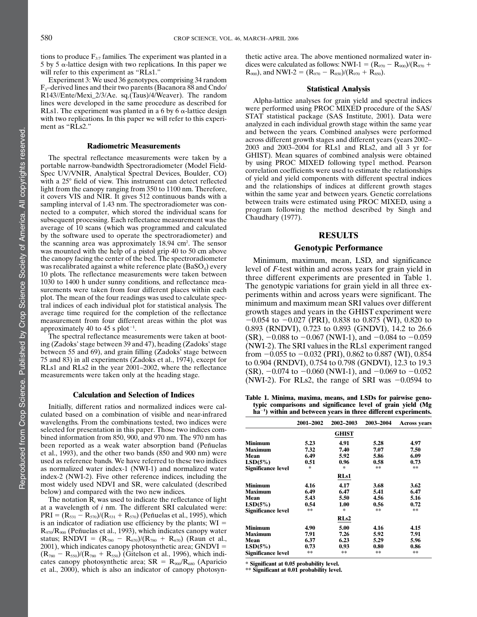tions to produce  $F_{3:7}$  families. The experiment was planted in a 5 by 5  $\alpha$ -lattice design with two replications. In this paper we will refer to this experiment as "RLs1."

Experiment 3: We used 36 genotypes, comprising 34 random F3–derived lines and their two parents (Bacanora 88 and Cndo/ R143//Ente/Mexi\_2/3/Ae. sq.(Taus)/4/Weaver). The random lines were developed in the same procedure as described for RLs1. The experiment was planted in a 6 by 6  $\alpha$ -lattice design with two replications. In this paper we will refer to this experiment as "RLs2."

### Radiometric Measurements

The spectral reflectance measurements were taken by a portable narrow-bandwidth Spectroradiometer (Model Field-Spec UV/VNIR, Analytical Spectral Devices, Boulder, CO) with a 25° field of view. This instrument can detect reflected light from the canopy ranging from 350 to 1100 nm. Therefore, it covers VIS and NIR. It gives 512 continuous bands with a sampling interval of 1.43 nm. The spectroradiometer was connected to a computer, which stored the individual scans for subsequent processing. Each reflectance measurement was the average of 10 scans (which was programmed and calculated by the software used to operate the spectroradiometer) and the scanning area was approximately 18.94 cm<sup>2</sup>. The sensor was mounted with the help of a pistol grip 40 to 50 cm above the canopy facing the center of the bed. The spectroradiometer was recalibrated against a white reference plate  $(BaSO_4)$  every 10 plots. The reflectance measurements were taken between 1030 to 1400 h under sunny conditions, and reflectance measurements were taken from four different places within each plot. The mean of the four readings was used to calculate spectral indices of each individual plot for statistical analysis. The average time required for the completion of the reflectance measurement from four different areas within the plot was approximately 40 to 45 s plot<sup>-1</sup>.

The spectral reflectance measurements were taken at booting (Zadoks' stage between 39 and 47), heading (Zadoks' stage between 55 and 69), and grain filling (Zadoks' stage between 75 and 83) in all experiments (Zadoks et al., 1974), except for RLs1 and RLs2 in the year 2001–2002, where the reflectance measurements were taken only at the heading stage.

#### Calculation and Selection of Indices

Initially, different ratios and normalized indices were calculated based on a combination of visible and near-infrared wavelengths. From the combinations tested, two indices were selected for presentation in this paper. Those two indices combined information from 850, 900, and 970 nm. The 970 nm has been reported as a weak water absorption band (Peñuelas et al., 1993), and the other two bands (850 and 900 nm) were used as reference bands. We have referred to these two indices as normalized water index-1 (NWI-1) and normalized water index-2 (NWI-2). Five other reference indices, including the most widely used NDVI and SR, were calculated (described below) and compared with the two new indices.

The notation  $R_i$  was used to indicate the reflectance of light at a wavelength of i nm. The different SRI calculated were:  $PRI = (R_{531} - R_{570})/(R_{531} + R_{570})$  (Peñuelas et al., 1995), which is an indicator of radiation use efficiency by the plants;  $WI =$ R<sub>970</sub>/R<sub>900</sub> (Peñuelas et al., 1993), which indicates canopy water status; RNDVI =  $(R_{780} - R_{670})/(R_{780} + R_{670})$  (Raun et al.,  $2001$ ), which indicates canopy photosynthetic area; GNDVI =  $(R_{780} - R_{550})/(R_{780} + R_{550})$  (Gitelson et al., 1996), which indicates canopy photosynthetic area;  $SR = R_{900}/R_{680}$  (Aparicio et al., 2000), which is also an indicator of canopy photosynthetic active area. The above mentioned normalized water indices were calculated as follows: NWI-1 =  $(R_{970} - R_{900})/(R_{970} +$  $R_{900}$ ), and NWI-2 =  $(R_{970} - R_{850})/(R_{970} + R_{850})$ .

### Statistical Analysis

Alpha-lattice analyses for grain yield and spectral indices were performed using PROC MIXED procedure of the SAS/ STAT statistical package (SAS Institute, 2001). Data were analyzed in each individual growth stage within the same year and between the years. Combined analyses were performed across different growth stages and different years (years 2002– 2003 and 2003–2004 for RLs1 and RLs2, and all 3 yr for GHIST). Mean squares of combined analysis were obtained by using PROC MIXED following type1 method. Pearson correlation coefficients were used to estimate the relationships of yield and yield components with different spectral indices and the relationships of indices at different growth stages within the same year and between years. Genetic correlations between traits were estimated using PROC MIXED, using a program following the method described by Singh and Chaudhary (1977).

### RESULTS

# Genotypic Performance

Minimum, maximum, mean, LSD, and significance level of F-test within and across years for grain yield in three different experiments are presented in Table 1. The genotypic variations for grain yield in all three experiments within and across years were significant. The minimum and maximum mean SRI values over different growth stages and years in the GHIST experiment were  $20.054$  to  $-0.027$  (PRI), 0.838 to 0.875 (WI), 0.820 to 0.893 (RNDVI), 0.723 to 0.893 (GNDVI), 14.2 to 26.6  $(SR)$ ,  $-0.088$  to  $-0.067$  (NWI-1), and  $-0.084$  to  $-0.059$ (NWI-2). The SRI values in the RLs1 experiment ranged from  $-0.055$  to  $-0.032$  (PRI), 0.862 to 0.887 (WI), 0.854 to 0.904 (RNDVI), 0.754 to 0.798 (GNDVI), 12.3 to 19.3  $(SR)$ ,  $-0.074$  to  $-0.060$  (NWI-1), and  $-0.069$  to  $-0.052$ (NWI-2). For RLs2, the range of SRI was  $-0.0594$  to

Table 1. Minima, maxima, means, and LSDs for pairwise genotypic comparisons and significance level of grain yield (Mg ha<sup>-1</sup>) within and between years in three different experiments.

|                           | 2001-2002 | 2002-2003    | 2003-2004 | <b>Across years</b> |
|---------------------------|-----------|--------------|-----------|---------------------|
|                           |           | <b>GHIST</b> |           |                     |
| Minimum                   | 5.23      | 4.91         | 5.28      | 4.97                |
| <b>Maximum</b>            | 7.32      | 7.40         | 7.07      | 7.50                |
| Mean                      | 6.49      | 5.92         | 5.86      | 6.09                |
| LSD(5%)                   | 0.51      | 0.96         | 0.58      | 0.73                |
| <b>Significance level</b> | $\ast$    | $\ast$       | **        | **                  |
|                           |           | <b>RLs1</b>  |           |                     |
| <b>Minimum</b>            | 4.16      | 4.17         | 3.68      | 3.62                |
| <b>Maximum</b>            | 6.49      | 6.47         | 5.41      | 6.47                |
| Mean                      | 5.43      | 5.50         | 4.56      | 5.16                |
| $LSD(5\%)$                | 0.54      | 1.00         | 0.56      | 0.72                |
| <b>Significance level</b> | **        | *            | **        | **                  |
|                           |           | RLs2         |           |                     |
| Minimum                   | 4.90      | 5.00         | 4.16      | 4.15                |
| <b>Maximum</b>            | 7.91      | 7.26         | 5.92      | 7.91                |
| Mean                      | 6.37      | 6.23         | 5.29      | 5.96                |
| $LSD(5\%)$                | 0.73      | 0.93         | 0.80      | 0.86                |
| Significance level        | **        | **           | **        | **                  |

\* Significant at 0.05 probability level.

\*\* Significant at 0.01 probability level.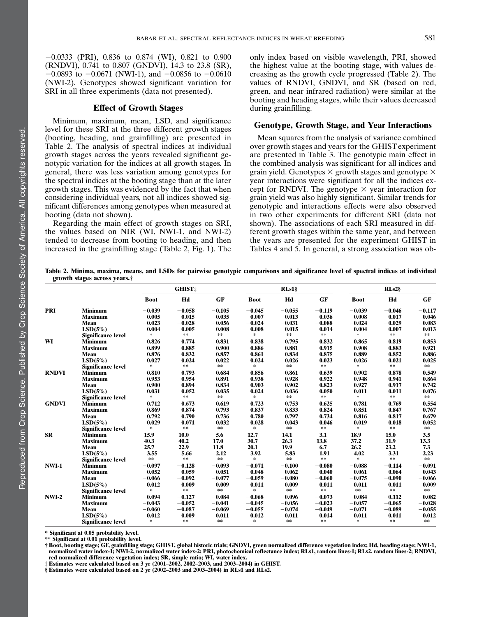$-0.0333$  (PRI), 0.836 to 0.874 (WI), 0.821 to 0.900 (RNDVI), 0.741 to 0.807 (GNDVI), 14.3 to 23.8 (SR),  $-0.0893$  to  $-0.0671$  (NWI-1), and  $-0.0856$  to  $-0.0610$ (NWI-2). Genotypes showed significant variation for SRI in all three experiments (data not presented).

### Effect of Growth Stages

Minimum, maximum, mean, LSD, and significance level for these SRI at the three different growth stages (booting, heading, and grainfilling) are presented in Table 2. The analysis of spectral indices at individual growth stages across the years revealed significant genotypic variation for the indices at all growth stages. In general, there was less variation among genotypes for the spectral indices at the booting stage than at the later growth stages. This was evidenced by the fact that when considering individual years, not all indices showed significant differences among genotypes when measured at booting (data not shown).

Regarding the main effect of growth stages on SRI, the values based on NIR (WI, NWI-1, and NWI-2) tended to decrease from booting to heading, and then increased in the grainfilling stage (Table 2, Fig. 1). The only index based on visible wavelength, PRI, showed the highest value at the booting stage, with values decreasing as the growth cycle progressed (Table 2). The values of RNDVI, GNDVI, and SR (based on red, green, and near infrared radiation) were similar at the booting and heading stages, while their values decreased during grainfilling.

### Genotype, Growth Stage, and Year Interactions

Mean squares from the analysis of variance combined over growth stages and years for the GHIST experiment are presented in Table 3. The genotypic main effect in the combined analysis was significant for all indices and grain yield. Genotypes  $\times$  growth stages and genotype  $\times$ year interactions were significant for all the indices except for RNDVI. The genotype  $\times$  year interaction for grain yield was also highly significant. Similar trends for genotypic and interactions effects were also observed in two other experiments for different SRI (data not shown). The associations of each SRI measured in different growth stages within the same year, and between the years are presented for the experiment GHIST in Tables 4 and 5. In general, a strong association was ob-

Table 2. Minima, maxima, means, and LSDs for pairwise genotypic comparisons and significance level of spectral indices at individual growth stages across years.†

|              |                           |             | <b>GHIST:</b> |            | $RLs1\$     |          |            | RLs2§       |            |           |  |
|--------------|---------------------------|-------------|---------------|------------|-------------|----------|------------|-------------|------------|-----------|--|
|              |                           | <b>Boot</b> | Hd            | <b>GF</b>  | <b>Boot</b> | Hd       | <b>GF</b>  | <b>Boot</b> | Hd         | <b>GF</b> |  |
| <b>PRI</b>   | <b>Minimum</b>            | $-0.039$    | $-0.058$      | $-0.105$   | $-0.045$    | $-0.055$ | $-0.119$   | $-0.039$    | $-0.046$   | $-0.117$  |  |
|              | <b>Maximum</b>            | $-0.005$    | $-0.015$      | $-0.035$   | $-0.007$    | $-0.013$ | $-0.036$   | $-0.008$    | $-0.017$   | $-0.046$  |  |
|              | Mean                      | $-0.023$    | $-0.028$      | $-0.056$   | $-0.024$    | $-0.031$ | $-0.088$   | $-0.024$    | $-0.029$   | $-0.083$  |  |
|              | $LSD(5\%)$                | 0.004       | 0.005         | 0.008      | 0.008       | 0.015    | 0.014      | 0.004       | 0.007      | 0.013     |  |
|              | <b>Significance level</b> | $\ast$      | $\ast\ast$    | **         | $\ast$      | **       | $**$       | $\ast$      | **         | **        |  |
| WI           | <b>Minimum</b>            | 0.826       | 0.774         | 0.831      | 0.838       | 0.795    | 0.832      | 0.865       | 0.819      | 0.853     |  |
|              | <b>Maximum</b>            | 0.899       | 0.885         | 0.900      | 0.886       | 0.881    | 0.915      | 0.908       | 0.883      | 0.921     |  |
|              | Mean                      | 0.876       | 0.832         | 0.857      | 0.861       | 0.834    | 0.875      | 0.889       | 0.852      | 0.886     |  |
|              | $LSD(5\%)$                | 0.027       | 0.024         | 0.022      | 0.024       | 0.026    | 0.023      | 0.026       | 0.021      | 0.025     |  |
|              | <b>Significance level</b> | $\ast$      | **            | **         | $\ast$      | **       | **         | $\ast$      | **         | **        |  |
| <b>RNDVI</b> | Minimum                   | 0.810       | 0.793         | 0.684      | 0.856       | 0.861    | 0.639      | 0.902       | 0.878      | 0.549     |  |
|              | <b>Maximum</b>            | 0.953       | 0.954         | 0.891      | 0.938       | 0.928    | 0.922      | 0.948       | 0.941      | 0.864     |  |
|              | Mean                      | 0.900       | 0.894         | 0.834      | 0.903       | 0.902    | 0.823      | 0.927       | 0.917      | 0.742     |  |
|              | $LSD(5\%)$                | 0.031       | 0.052         | 0.035      | 0.024       | 0.036    | 0.050      | 0.011       | 0.011      | 0.076     |  |
|              | <b>Significance level</b> | $\ast$      | $\ast\ast$    | **         | $\ast$      | **       | $\ast\ast$ | $\ast$      | **         | **        |  |
| <b>GNDVI</b> | <b>Minimum</b>            | 0.712       | 0.673         | 0.619      | 0.723       | 0.753    | 0.625      | 0.781       | 0.769      | 0.554     |  |
|              | <b>Maximum</b>            | 0.869       | 0.874         | 0.793      | 0.837       | 0.833    | 0.824      | 0.851       | 0.847      | 0.767     |  |
|              | Mean                      | 0.792       | 0.790         | 0.736      | 0.780       | 0.797    | 0.734      | 0.816       | 0.817      | 0.679     |  |
|              | LSD(5%)                   | 0.029       | 0.071         | 0.032      | 0.028       | 0.043    | 0.046      | 0.019       | 0.018      | 0.052     |  |
|              | <b>Significance level</b> | $\ast$      | $**$          | $\ast\ast$ | $\ast$      | $***$    | $\ast\ast$ | $\ast$      | $***$      | $**$      |  |
| <b>SR</b>    | <b>Minimum</b>            | 15.9        | 10.0          | 5.6        | 12.7        | 14.1     | 3.1        | 18.9        | 15.0       | 3.5       |  |
|              | <b>Maximum</b>            | 40.3        | 40.2          | 17.0       | 30.7        | 26.3     | 13.8       | 37.2        | 31.9       | 13.3      |  |
|              | Mean                      | 25.7        | 22.9          | 11.8       | 20.1        | 19.9     | 6.7        | 26.2        | 23.2       | 7.3       |  |
|              | $LSD(5\%)$                | 3.55        | 5.66          | 2.12       | 3.92        | 5.83     | 1.91       | 4.02        | 3.31       | 2.23      |  |
|              | <b>Significance level</b> | $\ast\ast$  | $\ast\ast$    | $**$       | $\ast$      | $***$    | $\ast\ast$ | $\ast$      | $\ast\ast$ | **        |  |
| <b>NWI-1</b> | <b>Minimum</b>            | $-0.097$    | $-0.128$      | $-0.093$   | $-0.071$    | $-0.100$ | $-0.080$   | $-0.088$    | $-0.114$   | $-0.091$  |  |
|              | <b>Maximum</b>            | $-0.052$    | $-0.059$      | $-0.051$   | $-0.048$    | $-0.062$ | $-0.040$   | $-0.061$    | $-0.064$   | $-0.043$  |  |
|              | Mean                      | $-0.066$    | $-0.092$      | $-0.077$   | $-0.059$    | $-0.080$ | $-0.060$   | $-0.075$    | $-0.090$   | $-0.066$  |  |
|              | LSD(5%)                   | 0.012       | 0.009         | 0.009      | 0.011       | 0.009    | 0.011      | 0.011       | 0.011      | 0.009     |  |
|              | <b>Significance level</b> | $\ast$      | **            | **         | $\ast$      | **       | **         | $**$        | **         | **        |  |
| <b>NWI-2</b> | <b>Minimum</b>            | $-0.094$    | $-0.127$      | $-0.084$   | $-0.068$    | $-0.096$ | $-0.073$   | $-0.084$    | $-0.112$   | $-0.082$  |  |
|              | <b>Maximum</b>            | $-0.043$    | $-0.052$      | $-0.041$   | $-0.045$    | $-0.056$ | $-0.023$   | $-0.057$    | $-0.065$   | $-0.028$  |  |
|              | Mean                      | $-0.060$    | $-0.087$      | $-0.069$   | $-0.055$    | $-0.074$ | $-0.049$   | $-0.071$    | $-0.089$   | $-0.055$  |  |
|              | LSD(5%)                   | 0.012       | 0.009         | 0.011      | 0.012       | 0.011    | 0.014      | 0.011       | 0.011      | 0.012     |  |
|              | <b>Significance level</b> | *           | **            | **         | *           | **       | **         | $\ast$      | **         | **        |  |

\* Significant at 0.05 probability level.

\*\* Significant at 0.01 probability level.

† Boot, booting stage; GF, grainfilling stage; GHIST, global historic trials; GNDVI, green normalized difference vegetation index; Hd, heading stage; NWI-1, normalized water index-1; NWI-2, normalized water index-2; PRI, photochemical reflectance index; RLs1, random lines-1; RLs2, random lines-2; RNDVI,

red normalized difference vegetation index; SR, simple ratio; WI, water index. ‡ Estimates were calculated based on 3 yr (2001–2002, 2002–2003, and 2003–2004) in GHIST.

§ Estimates were calculated based on 2 yr (2002–2003 and 2003–2004) in RLs1 and RLs2.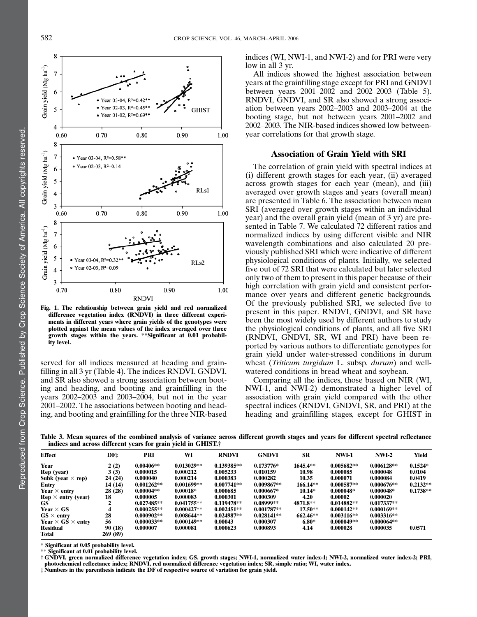

Fig. 1. The relationship between grain yield and red normalized difference vegetation index (RNDVI) in three different experiments in different years where grain yields of the genotypes were plotted against the mean values of the index averaged over three growth stages within the years. \*\*Significant at 0.01 probability level.

served for all indices measured at heading and grainfilling in all 3 yr (Table 4). The indices RNDVI, GNDVI, and SR also showed a strong association between booting and heading, and booting and grainfilling in the years 2002–2003 and 2003–2004, but not in the year 2001–2002. The associations between booting and heading, and booting and grainfilling for the three NIR-based indices (WI, NWI-1, and NWI-2) and for PRI were very low in all 3 yr.

All indices showed the highest association between years at the grainfilling stage except for PRI and GNDVI between years 2001–2002 and 2002–2003 (Table 5). RNDVI, GNDVI, and SR also showed a strong association between years 2002–2003 and 2003–2004 at the booting stage, but not between years 2001–2002 and 2002–2003. The NIR-based indices showed low betweenyear correlations for that growth stage.

# Association of Grain Yield with SRI

The correlation of grain yield with spectral indices at (i) different growth stages for each year, (ii) averaged across growth stages for each year (mean), and (iii) averaged over growth stages and years (overall mean) are presented in Table 6. The association between mean SRI (averaged over growth stages within an individual year) and the overall grain yield (mean of 3 yr) are presented in Table 7. We calculated 72 different ratios and normalized indices by using different visible and NIR wavelength combinations and also calculated 20 previously published SRI which were indicative of different physiological conditions of plants. Initially, we selected five out of 72 SRI that were calculated but later selected only two of them to present in this paper because of their high correlation with grain yield and consistent performance over years and different genetic backgrounds. Of the previously published SRI, we selected five to present in this paper. RNDVI, GNDVI, and SR have been the most widely used by different authors to study the physiological conditions of plants, and all five SRI (RNDVI, GNDVI, SR, WI and PRI) have been reported by various authors to differentiate genotypes for grain yield under water-stressed conditions in durum wheat *(Triticum turgidum L. subsp. durum)* and wellwatered conditions in bread wheat and soybean.

Comparing all the indices, those based on NIR (WI, NWI-1, and NWI-2) demonstrated a higher level of association with grain yield compared with the other spectral indices (RNDVI, GNDVI, SR, and PRI) at the heading and grainfilling stages, except for GHIST in

Table 3. Mean squares of the combined analysis of variance across different growth stages and years for different spectral reflectance indices and across different years for grain yield in GHIST.†

| <b>Effect</b>                           | DF‡      | PRI          | WI           | <b>RNDVI</b> | <b>GNDVI</b> | <b>SR</b>  | NWI-1        | $NWI-2$      | Yield      |
|-----------------------------------------|----------|--------------|--------------|--------------|--------------|------------|--------------|--------------|------------|
| Year                                    | 2(2)     | $0.00406**$  | $0.013029**$ | $0.139385**$ | $0.173776*$  | 1645.4**   | $0.005682**$ | $0.006128**$ | $0.1524*$  |
| Rep (year)                              | 3(3)     | 0.000015     | 0.000212     | 0.005233     | 0.010159     | 10.98      | 0.000085     | 0.000048     | 0.0104     |
| Subk (year $\times$ rep)                | 24 (24)  | 0.000040     | 0.000214     | 0.000383     | 0.000282     | 10.35      | 0.000071     | 0.000084     | 0.0419     |
| Entry                                   | 14 (14)  | $0.001262**$ | $0.001699**$ | $0.007741**$ | $0.009867**$ | $166.14**$ | $0.000587**$ | $0.000676**$ | $0.2132**$ |
| Year $\times$ entry                     | 28 (28)  | $0.00004**$  | $0.00018*$   | 0.000685     | $0.000667*$  | $10.14*$   | $0.000048*$  | $0.000048*$  | $0.1738**$ |
| $\text{Rep} \times \text{entry}$ (year) | 18       | 0.000005     | 0.000083     | 0.000301     | 0.000309     | 4.20       | 0.00002      | 0.000020     |            |
| GS.                                     |          | $0.027485**$ | $0.041755**$ | $0.119478**$ | $0.08999**$  | 4871.8**   | $0.014882**$ | $0.017337**$ |            |
| Year $\times$ GS                        |          | $0.000255**$ | $0.000427**$ | $0.002451**$ | $0.001787**$ | $17.50**$  | $0.000142**$ | $0.000169**$ |            |
| $GS \times$ entry                       | 28       | $0.000902**$ | $0.008644**$ | $0.024987**$ | $0.028141**$ | 662.46**   | $0.003116**$ | $0.003316**$ |            |
| Year $\times$ GS $\times$ entry         | 56       | $0.000033**$ | $0.000149**$ | 0.00043      | 0.000307     | $6.80*$    | $0.000049**$ | $0.000064**$ |            |
| <b>Residual</b>                         | 90(18)   | 0.000007     | 0.000081     | 0.000623     | 0.000893     | 4.14       | 0.000028     | 0.000035     | 0.0571     |
| Total                                   | 269 (89) |              |              |              |              |            |              |              |            |

\* Significant at 0.05 probability level.

\*\* Significant at 0.01 probability level.

† GNDVI, green normalized difference vegetation index; GS, growth stages; NWI-1, normalized water index-1; NWI-2, normalized water index-2; PRI, photochemical reflectance index; RNDVI, red normalized difference vegetation index; SR, simple ratio; WI, water index.

‡ Numbers in the parenthesis indicate the DF of respective source of variation for grain yield.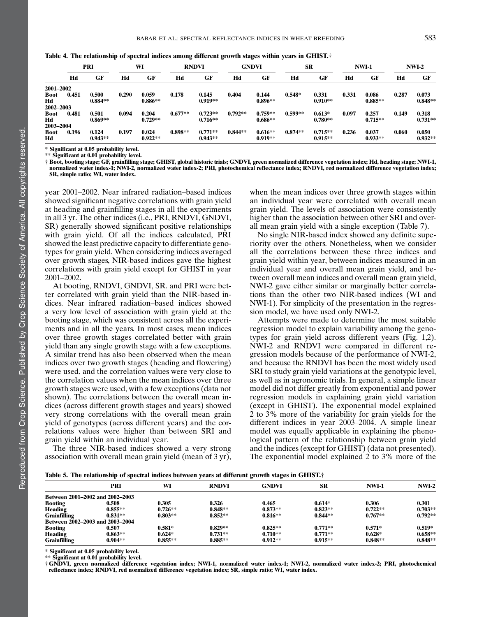|  |  | Table 4. The relationship of spectral indices among different growth stages within years in GHIST. <sup>†</sup> |  |
|--|--|-----------------------------------------------------------------------------------------------------------------|--|
|  |  |                                                                                                                 |  |

|             | PRI   |           | WI    |           | <b>RNDVI</b> |           | <b>GNDVI</b> |           | <b>SR</b> |           | <b>NWI-1</b> |           |       | $NWI-2$   |
|-------------|-------|-----------|-------|-----------|--------------|-----------|--------------|-----------|-----------|-----------|--------------|-----------|-------|-----------|
|             | Hd    | GF        | Hd    | GF        | Hd           | GF        | Hd           | GF        | Hd        | GF        | Hd           | GF        | Hd    | GF        |
| 2001-2002   |       |           |       |           |              |           |              |           |           |           |              |           |       |           |
| <b>Boot</b> | 0.451 | 0.500     | 0.290 | 0.059     | 0.178        | 0.145     | 0.404        | 0.144     | $0.548*$  | 0.331     | 0.331        | 0.086     | 0.287 | 0.073     |
| Hd          |       | $0.884**$ |       | $0.886**$ |              | $0.919**$ |              | $0.896**$ |           | $0.910**$ |              | $0.885**$ |       | $0.848**$ |
| 2002-2003   |       |           |       |           |              |           |              |           |           |           |              |           |       |           |
| <b>Boot</b> | 0.481 | 0.501     | 0.094 | 0.204     | $0.677**$    | $0.723**$ | $0.792**$    | $0.759**$ | $0.599**$ | $0.613*$  | 0.097        | 0.257     | 0.149 | 0.318     |
| Hd          |       | $0.869**$ |       | $0.729**$ |              | $0.716**$ |              | $0.686**$ |           | $0.780**$ |              | $0.715**$ |       | $0.731**$ |
| 2003-2004   |       |           |       |           |              |           |              |           |           |           |              |           |       |           |
| <b>Boot</b> | 0.196 | 0.124     | 0.197 | 0.024     | $0.898**$    | $0.771**$ | $0.844**$    | $0.616**$ | $0.874**$ | $0.715**$ | 0.236        | 0.037     | 0.060 | 0.050     |
| Hd          |       | $0.943**$ |       | $0.922**$ |              | $0.943**$ |              | $0.919**$ |           | $0.915**$ |              | $0.933**$ |       | $0.932**$ |

\* Significant at 0.05 probability level.

\*\* Significant at 0.01 probability level.

† Boot, booting stage; GF, grainfilling stage; GHIST, global historic trials; GNDVI, green normalized difference vegetation index; Hd, heading stage; NWI-1, normalized water index-1; NWI-2, normalized water index-2; PRI, photochemical reflectance index; RNDVI, red normalized difference vegetation index; SR, simple ratio; WI, water index.

year 2001–2002. Near infrared radiation–based indices showed significant negative correlations with grain yield at heading and grainfilling stages in all the experiments in all 3 yr. The other indices (i.e., PRI, RNDVI, GNDVI, SR) generally showed significant positive relationships with grain yield. Of all the indices calculated, PRI showed the least predictive capacity to differentiate genotypes for grain yield. When considering indices averaged over growth stages, NIR-based indices gave the highest correlations with grain yield except for GHIST in year 2001–2002.

At booting, RNDVI, GNDVI, SR. and PRI were better correlated with grain yield than the NIR-based indices. Near infrared radiation–based indices showed a very low level of association with grain yield at the booting stage, which was consistent across all the experiments and in all the years. In most cases, mean indices over three growth stages correlated better with grain yield than any single growth stage with a few exceptions. A similar trend has also been observed when the mean indices over two growth stages (heading and flowering) were used, and the correlation values were very close to the correlation values when the mean indices over three growth stages were used, with a few exceptions (data not shown). The correlations between the overall mean indices (across different growth stages and years) showed very strong correlations with the overall mean grain yield of genotypes (across different years) and the correlations values were higher than between SRI and grain yield within an individual year.

The three NIR-based indices showed a very strong association with overall mean grain yield (mean of 3 yr),

when the mean indices over three growth stages within an individual year were correlated with overall mean grain yield. The levels of association were consistently higher than the association between other SRI and overall mean grain yield with a single exception (Table 7).

No single NIR-based index showed any definite superiority over the others. Nonetheless, when we consider all the correlations between these three indices and grain yield within year, between indices measured in an individual year and overall mean grain yield, and between overall mean indices and overall mean grain yield, NWI-2 gave either similar or marginally better correlations than the other two NIR-based indices (WI and NWI-1). For simplicity of the presentation in the regression model, we have used only NWI-2.

Attempts were made to determine the most suitable regression model to explain variability among the genotypes for grain yield across different years (Fig. 1,2). NWI-2 and RNDVI were compared in different regression models because of the performance of NWI-2, and because the RNDVI has been the most widely used SRI to study grain yield variations at the genotypic level, as well as in agronomic trials. In general, a simple linear model did not differ greatly from exponential and power regression models in explaining grain yield variation (except in GHIST). The exponential model explained 2 to 3% more of the variability for grain yields for the different indices in year 2003–2004. A simple linear model was equally applicable in explaining the phenological pattern of the relationship between grain yield and the indices (except for GHIST) (data not presented). The exponential model explained 2 to 3% more of the

Table 5. The relationship of spectral indices between years at different growth stages in GHIST.†

|           |                                                                                                     | 0            | o            |           |                                                                           |                                                                      |
|-----------|-----------------------------------------------------------------------------------------------------|--------------|--------------|-----------|---------------------------------------------------------------------------|----------------------------------------------------------------------|
| PRI       | WI                                                                                                  | <b>RNDVI</b> | <b>GNDVI</b> | <b>SR</b> | NWI-1                                                                     | NWI-2                                                                |
|           |                                                                                                     |              |              |           |                                                                           |                                                                      |
| 0.508     | 0.305                                                                                               | 0.326        | 0.465        |           |                                                                           | 0.301                                                                |
|           | $0.726**$                                                                                           | $0.848**$    | $0.873**$    |           |                                                                           | $0.703**$                                                            |
|           | $0.803**$                                                                                           | $0.852**$    | $0.816**$    |           |                                                                           | $0.792**$                                                            |
|           |                                                                                                     |              |              |           |                                                                           |                                                                      |
| 0.507     | $0.581*$                                                                                            | $0.829**$    | $0.825**$    |           |                                                                           | $0.519*$                                                             |
| $0.863**$ | $0.624*$                                                                                            | $0.731**$    | $0.710**$    |           |                                                                           | $0.658**$                                                            |
| $0.904**$ | $0.855**$                                                                                           | $0.885**$    | $0.912**$    |           |                                                                           | $0.848**$                                                            |
|           | Between 2001–2002 and 2002–2003<br>$0.855**$<br>$0.831**$<br><b>Between 2002–2003 and 2003–2004</b> |              |              |           | $0.614*$<br>$0.823**$<br>$0.844**$<br>$0.771**$<br>$0.771**$<br>$0.915**$ | 0.306<br>$0.722**$<br>$0.767**$<br>$0.571*$<br>$0.628*$<br>$0.848**$ |

\* Significant at 0.05 probability level.

\*\* Significant at 0.01 probability level.

† GNDVI, green normalized difference vegetation index; NWI-1, normalized water index-1; NWI-2, normalized water index-2; PRI, photochemical reflectance index; RNDVI, red normalized difference vegetation index; SR, simple ratio; WI, water index.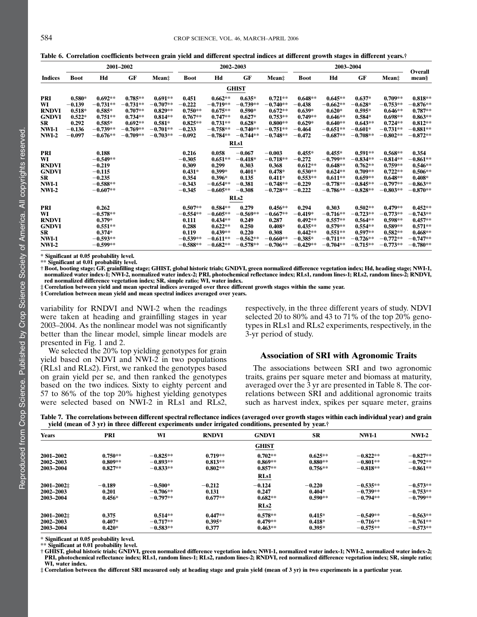Table 6. Correlation coefficients between grain yield and different spectral indices at different growth stages in different years.†

| 2001-2002<br>2002-2003 |             |            |            |            |             |            | 2003-2004    |               |             |            | Overall    |                   |            |
|------------------------|-------------|------------|------------|------------|-------------|------------|--------------|---------------|-------------|------------|------------|-------------------|------------|
| <b>Indices</b>         | <b>Boot</b> | Hd         | GF         | Mean‡      | <b>Boot</b> | Hd         | GF           | <b>Mean</b> ‡ | <b>Boot</b> | Hd         | GF         | Mean <sup>†</sup> | mean§      |
|                        |             |            |            |            |             |            | <b>GHIST</b> |               |             |            |            |                   |            |
| <b>PRI</b>             | $0.580*$    | $0.692**$  | $0.785**$  | $0.691**$  | 0.451       | $0.662**$  | $0.635*$     | $0.721**$     | $0.648**$   | $0.645**$  | $0.637*$   | $0.709**$         | $0.818**$  |
| WI                     | $-0.139$    | $-0.731**$ | $-0.731**$ | $-0.707**$ | $-0.222$    | $-0.719**$ | $-0.739**$   | $-0.740**$    | $-0.438$    | $-0.662**$ | $-0.628*$  | $-0.753**$        | $-0.876**$ |
| <b>RNDVI</b>           | $0.518*$    | $0.585*$   | $0.707**$  | $0.829**$  | $0.750**$   | $0.675**$  | $0.590*$     | $0.672**$     | $0.639*$    | $0.620*$   | $0.595*$   | $0.646**$         | $0.787**$  |
| <b>GNDVI</b>           | $0.522*$    | $0.751**$  | $0.734**$  | $0.814**$  | $0.767**$   | $0.747**$  | $0.627*$     | $0.753**$     | $0.749**$   | $0.646**$  | $0.584*$   | $0.698**$         | $0.863**$  |
| SR.                    | 0.292       | $0.585*$   | $0.692**$  | $0.581*$   | $0.825**$   | $0.731**$  | $0.628*$     | $0.800**$     | $0.629*$    | $0.640**$  | $0.643**$  | $0.724**$         | $0.812**$  |
| <b>NWI-1</b>           | $-0.136$    | $-0.739**$ | $-0.769**$ | $-0.701**$ | $-0.233$    | $-0.758**$ | $-0.740**$   | $-0.751**$    | $-0.464$    | $-0.651**$ | $-0.601*$  | $-0.731**$        | $-0.881**$ |
| <b>NWI-2</b>           | $-0.097$    | $-0.676**$ | $-0.709**$ | $-0.703**$ | $-0.092$    | $-0.784**$ | $-0.744**$   | $-0.748**$    | $-0.472$    | $-0.687**$ | $-0.708**$ | $-0.802**$        | $-0.872**$ |
| <b>RLs1</b>            |             |            |            |            |             |            |              |               |             |            |            |                   |            |
| <b>PRI</b>             |             | 0.188      |            |            | 0.216       | 0.058      | $-0.067$     | $-0.003$      | $0.455*$    | $0.455*$   | $0.591**$  | $0.568**$         | 0.354      |
| WI                     |             | $-0.549**$ |            |            | $-0.305$    | $0.651**$  | $-0.418*$    | $-0.718**$    | $-0.272$    | $-0.799**$ | $-0.834**$ | $0.814**$         | $-0.861**$ |
| <b>RNDVI</b>           |             | $-0.219$   |            |            | 0.309       | 0.299      | 0.303        | 0.368         | $0.612**$   | $0.648**$  | $0.762**$  | $0.759**$         | $0.546**$  |
| <b>GNDVI</b>           |             | $-0.115$   |            |            | $0.431*$    | $0.399*$   | $0.401*$     | $0.478*$      | $0.530**$   | $0.624**$  | $0.709**$  | $0.722**$         | $0.506**$  |
| <b>SR</b>              |             | $-0.235$   |            |            | 0.354       | $0.396*$   | 0.135        | $0.411*$      | $0.553**$   | $0.611**$  | $0.659**$  | $0.648**$         | $0.408*$   |
| <b>NWI-1</b>           |             | $-0.588**$ |            |            | $-0.343$    | $-0.654**$ | $-0.381$     | $-0.748**$    | $-0.229$    | $-0.778**$ | $-0.845**$ | $-0.797**$        | $-0.863**$ |
| <b>NWI-2</b>           |             | $-0.607**$ |            |            | $-0.345$    | $-0.605**$ | $-0.308$     | $-0.728**$    | $-0.222$    | $-0.786**$ | $-0.828**$ | $-0.803**$        | $-0.870**$ |
|                        |             |            |            |            |             |            | RLs2         |               |             |            |            |                   |            |
| <b>PRI</b>             |             | 0.262      |            |            | $0.507**$   | $0.584**$  | 0.279        | $0.456**$     | 0.294       | 0.303      | $0.502**$  | $0.479**$         | $0.452**$  |
| WI                     |             | $-0.578**$ |            |            | $-0.554**$  | $-0.605**$ | $-0.569**$   | $-0.667**$    | $-0.419*$   | $-0.716**$ | $-0.723**$ | $-0.773**$        | $-0.743**$ |
| <b>RNDVI</b>           |             | $0.379*$   |            |            | 0.111       | $0.434**$  | 0.249        | 0.287         | $0.492**$   | $0.557**$  | $0.564**$  | $0.598**$         | $0.457**$  |
| <b>GNDVI</b>           |             | $0.551**$  |            |            | 0.288       | $0.622**$  | 0.250        | $0.408*$      | $0.435**$   | $0.579**$  | $0.554**$  | $0.589**$         | $0.571**$  |
| <b>SR</b>              |             | $0.374*$   |            |            | 0.119       | $0.439**$  | 0.220        | 0.308         | $0.442**$   | $0.551**$  | $0.597**$  | $0.582**$         | $0.468**$  |
| <b>NWI-1</b>           |             | $-0.593**$ |            |            | $-0.539**$  | $-0.611**$ | $-0.562**$   | $-0.660**$    | $-0.385*$   | $-0.711**$ | $-0.726**$ | $-0.772**$        | $-0.747**$ |
| <b>NWI-2</b>           |             | $-0.599**$ |            |            | $-0.588**$  | $-0.682**$ | $-0.578**$   | $-0.706**$    | $-0.429**$  | $-0.704**$ | $-0.715**$ | $-0.773**$        | $-0.780**$ |

\* Significant at 0.05 probability level. \*\* Significant at 0.01 probability level.

† Boot, booting stage; GF, grainfilling stage; GHIST, global historic trials; GNDVI, green normalized difference vegetation index; Hd, heading stage; NWI-1, normalized water index-1; NWI-2, normalized water index-2; PRI, photochemical reflectance index; RLs1, random lines-1; RLs2, random lines-2; RNDVI, red normalized difference vegetation index; SR, simple ratio; WI, water index.

‡ Correlation between yield and mean spectral indices averaged over three different growth stages within the same year.

§ Correlation between mean yield and mean spectral indices averaged over years.

variability for RNDVI and NWI-2 when the readings were taken at heading and grainfilling stages in year 2003–2004. As the nonlinear model was not significantly better than the linear model, simple linear models are presented in Fig. 1 and 2.

We selected the 20% top yielding genotypes for grain yield based on NDVI and NWI-2 in two populations (RLs1 and RLs2). First, we ranked the genotypes based on grain yield per se, and then ranked the genotypes based on the two indices. Sixty to eighty percent and 57 to 86% of the top 20% highest yielding genotypes were selected based on NWI-2 in RLs1 and RLs2, respectively, in the three different years of study. NDVI selected 20 to 80% and 43 to 71% of the top 20% genotypes in RLs1 and RLs2 experiments, respectively, in the 3-yr period of study.

# Association of SRI with Agronomic Traits

The associations between SRI and two agronomic traits, grains per square meter and biomass at maturity, averaged over the 3 yr are presented in Table 8. The correlations between SRI and additional agronomic traits such as harvest index, spikes per square meter, grains

Table 7. The correlations between different spectral reflectance indices (averaged over growth stages within each individual year) and grain yield (mean of 3 yr) in three different experiments under irrigated conditions, presented by year.†

| <b>Years</b>    | <b>PRI</b> | WI         | <b>RNDVI</b> | <b>GNDVI</b> | <b>SR</b> | NWI-1      | $NWI-2$    |
|-----------------|------------|------------|--------------|--------------|-----------|------------|------------|
|                 |            |            |              | <b>GHIST</b> |           |            |            |
| 2001-2002       | $0.750**$  | $-0.825**$ | $0.719**$    | $0.702**$    | $0.625**$ | $-0.822**$ | $-0.827**$ |
| 2002-2003       | $0.809**$  | $-0.893**$ | $0.813**$    | $0.869**$    | $0.880**$ | $-0.801**$ | $-0.792**$ |
| 2003-2004       | $0.827**$  | $-0.833**$ | $0.802**$    | $0.857**$    | $0.756**$ | $-0.818**$ | $-0.861**$ |
|                 |            |            |              | <b>RLs1</b>  |           |            |            |
| $2001 - 2002$ # | $-0.189$   | $-0.500*$  | $-0.212$     | $-0.124$     | $-0.220$  | $-0.535**$ | $-0.573**$ |
| 2002-2003       | 0.201      | $-0.706**$ | 0.131        | 0.247        | $0.404*$  | $-0.739**$ | $-0.753**$ |
| 2003-2004       | $0.456*$   | $-0.797**$ | $0.677**$    | $0.682**$    | $0.590**$ | $-0.794**$ | $-0.799**$ |
|                 |            |            |              | RLs2         |           |            |            |
| $2001 - 2002$ # | 0.375      | $0.514**$  | $0.447**$    | $0.578**$    | $0.415*$  | $-0.549**$ | $-0.563**$ |
| 2002-2003       | $0.407*$   | $-0.717**$ | $0.395*$     | $0.479**$    | $0.418*$  | $-0.716**$ | $-0.761**$ |
| 2003-2004       | $0.420*$   | $-0.583**$ | 0.377        | $0.463**$    | $0.395*$  | $-0.575**$ | $-0.573**$ |

\* Significant at 0.05 probability level.

\*\* Significant at 0.01 probability level.

† GHIST, global historic trials; GNDVI, green normalized difference vegetation index; NWI-1, normalized water index-1; NWI-2, normalized water index-2; PRI, photochemical reflectance index; RLs1, random lines-1; RLs2, random lines-2; RNDVI, red normalized difference vegetation index; SR, simple ratio; WI, water index.

‡ Correlation between the different SRI measured only at heading stage and grain yield (mean of 3 yr) in two experiments in a particular year.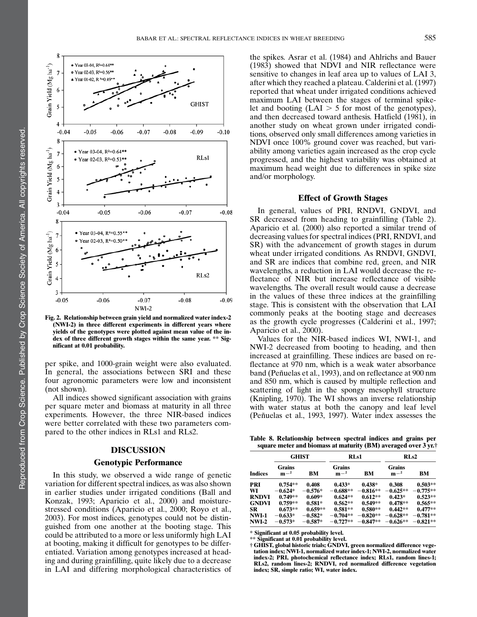

Fig. 2. Relationship between grain yield and normalized water index-2 (NWI-2) in three different experiments in different years where yields of the genotypes were plotted against mean value of the index of three different growth stages within the same year. \*\* Significant at 0.01 probability.

per spike, and 1000-grain weight were also evaluated. In general, the associations between SRI and these four agronomic parameters were low and inconsistent (not shown).

All indices showed significant association with grains per square meter and biomass at maturity in all three experiments. However, the three NIR-based indices were better correlated with these two parameters compared to the other indices in RLs1 and RLs2.

# DISCUSSION

# Genotypic Performance

In this study, we observed a wide range of genetic variation for different spectral indices, as was also shown in earlier studies under irrigated conditions (Ball and Konzak, 1993; Aparicio et al., 2000) and moisturestressed conditions (Aparicio et al., 2000; Royo et al., 2003). For most indices, genotypes could not be distinguished from one another at the booting stage. This could be attributed to a more or less uniformly high LAI at booting, making it difficult for genotypes to be differentiated. Variation among genotypes increased at heading and during grainfilling, quite likely due to a decrease in LAI and differing morphological characteristics of the spikes. Asrar et al. (1984) and Ahlrichs and Bauer (1983) showed that NDVI and NIR reflectance were sensitive to changes in leaf area up to values of LAI 3, after which they reached a plateau. Calderini et al. (1997) reported that wheat under irrigated conditions achieved maximum LAI between the stages of terminal spikelet and booting  $(LAI > 5$  for most of the genotypes), and then decreased toward anthesis. Hatfield (1981), in another study on wheat grown under irrigated conditions, observed only small differences among varieties in NDVI once 100% ground cover was reached, but variability among varieties again increased as the crop cycle progressed, and the highest variability was obtained at maximum head weight due to differences in spike size and/or morphology.

# Effect of Growth Stages

In general, values of PRI, RNDVI, GNDVI, and SR decreased from heading to grainfilling (Table 2). Aparicio et al. (2000) also reported a similar trend of decreasing values for spectral indices (PRI, RNDVI, and SR) with the advancement of growth stages in durum wheat under irrigated conditions. As RNDVI, GNDVI, and SR are indices that combine red, green, and NIR wavelengths, a reduction in LAI would decrease the reflectance of NIR but increase reflectance of visible wavelengths. The overall result would cause a decrease in the values of these three indices at the grainfilling stage. This is consistent with the observation that LAI commonly peaks at the booting stage and decreases as the growth cycle progresses (Calderini et al., 1997; Aparicio et al., 2000).

Values for the NIR-based indices WI, NWI-1, and NWI-2 decreased from booting to heading, and then increased at grainfilling. These indices are based on reflectance at 970 nm, which is a weak water absorbance band (Peñuelas et al., 1993), and on reflectance at 900 nm and 850 nm, which is caused by multiple reflection and scattering of light in the spongy mesophyll structure (Knipling, 1970). The WI shows an inverse relationship with water status at both the canopy and leaf level (Peñuelas et al., 1993, 1997). Water index assesses the

Table 8. Relationship between spectral indices and grains per square meter and biomass at maturity (BM) averaged over 3 yr.†

|                |                        | <b>GHIST</b> |                        | <b>RLs1</b> | RIs2                   |            |  |
|----------------|------------------------|--------------|------------------------|-------------|------------------------|------------|--|
| <b>Indices</b> | <b>Grains</b><br>$m-2$ | BМ           | <b>Grains</b><br>$m-2$ | BМ          | <b>Grains</b><br>$m-2$ | BМ         |  |
| <b>PRI</b>     | $0.754**$              | 0.408        | $0.433*$               | $0.438*$    | 0.308                  | $0.503**$  |  |
| WI             | $-0.624*$              | $-0.576*$    | $-0.688**$             | $-0.816**$  | $-0.625**$             | $-0.775**$ |  |
| <b>RNDVI</b>   | $0.749**$              | $0.609*$     | $0.624**$              | $0.612**$   | $0.423*$               | $0.523**$  |  |
| <b>GNDVI</b>   | $0.759**$              | $0.581*$     | $0.562**$              | $0.549**$   | $0.478**$              | $0.565**$  |  |
| SR.            | $0.673**$              | $0.659**$    | $0.581**$              | $0.580**$   | $0.442**$              | $0.477**$  |  |
| <b>NWI-1</b>   | $-0.633*$              | $-0.582*$    | $-0.704**$             | $-0.820**$  | $-0.628**$             | $-0.781**$ |  |
| <b>NWI-2</b>   | $-0.573*$              | $-0.587*$    | $-0.727**$             | $-0.847**$  | $-0.626**$             | $-0.821**$ |  |

\* Significant at 0.05 probability level.

\*\* Significant at 0.01 probability level.

<sup>†</sup> GHIST, global historic trials; GNDVI, green normalized difference vegetation index; NWI-1, normalized water index-1; NWI-2, normalized water index-2; PRI, photochemical reflectance index; RLs1, random lines-1; RLs2, random lines-2; RNDVI, red normalized difference vegetation index; SR, simple ratio; WI, water index.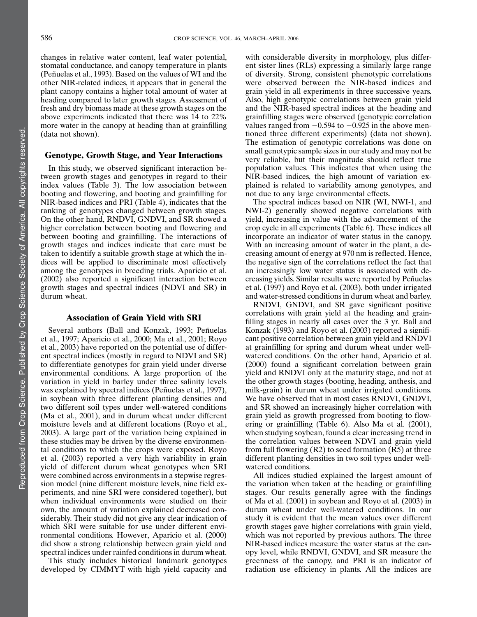changes in relative water content, leaf water potential, stomatal conductance, and canopy temperature in plants (Peñuelas et al., 1993). Based on the values of WI and the other NIR-related indices, it appears that in general the plant canopy contains a higher total amount of water at heading compared to later growth stages. Assessment of fresh and dry biomass made at these growth stages on the above experiments indicated that there was 14 to 22% more water in the canopy at heading than at grainfilling (data not shown).

### Genotype, Growth Stage, and Year Interactions

In this study, we observed significant interaction between growth stages and genotypes in regard to their index values (Table 3). The low association between booting and flowering, and booting and grainfilling for NIR-based indices and PRI (Table 4), indicates that the ranking of genotypes changed between growth stages. On the other hand, RNDVI, GNDVI, and SR showed a higher correlation between booting and flowering and between booting and grainfilling. The interactions of growth stages and indices indicate that care must be taken to identify a suitable growth stage at which the indices will be applied to discriminate most effectively among the genotypes in breeding trials. Aparicio et al. (2002) also reported a significant interaction between growth stages and spectral indices (NDVI and SR) in durum wheat.

### Association of Grain Yield with SRI

Several authors (Ball and Konzak, 1993; Peñuelas et al., 1997; Aparicio et al., 2000; Ma et al., 2001; Royo et al., 2003) have reported on the potential use of different spectral indices (mostly in regard to NDVI and SR) to differentiate genotypes for grain yield under diverse environmental conditions. A large proportion of the variation in yield in barley under three salinity levels was explained by spectral indices (Peñuelas et al., 1997), in soybean with three different planting densities and two different soil types under well-watered conditions (Ma et al., 2001), and in durum wheat under different moisture levels and at different locations (Royo et al., 2003). A large part of the variation being explained in these studies may be driven by the diverse environmental conditions to which the crops were exposed. Royo et al. (2003) reported a very high variability in grain yield of different durum wheat genotypes when SRI were combined across environments in a stepwise regression model (nine different moisture levels, nine field experiments, and nine SRI were considered together), but when individual environments were studied on their own, the amount of variation explained decreased considerably. Their study did not give any clear indication of which SRI were suitable for use under different environmental conditions. However, Aparicio et al. (2000) did show a strong relationship between grain yield and spectral indices under rainfed conditions in durum wheat.

This study includes historical landmark genotypes developed by CIMMYT with high yield capacity and with considerable diversity in morphology, plus different sister lines (RLs) expressing a similarly large range of diversity. Strong, consistent phenotypic correlations were observed between the NIR-based indices and grain yield in all experiments in three successive years. Also, high genotypic correlations between grain yield and the NIR-based spectral indices at the heading and grainfilling stages were observed (genotypic correlation values ranged from  $-0.594$  to  $-0.925$  in the above mentioned three different experiments) (data not shown). The estimation of genotypic correlations was done on small genotypic sample sizes in our study and may not be very reliable, but their magnitude should reflect true population values. This indicates that when using the NIR-based indices, the high amount of variation explained is related to variability among genotypes, and not due to any large environmental effects.

The spectral indices based on NIR (WI, NWI-1, and NWI-2) generally showed negative correlations with yield, increasing in value with the advancement of the crop cycle in all experiments (Table 6). These indices all incorporate an indicator of water status in the canopy. With an increasing amount of water in the plant, a decreasing amount of energy at 970 nm is reflected. Hence, the negative sign of the correlations reflect the fact that an increasingly low water status is associated with decreasing yields. Similar results were reported by Peñuelas et al. (1997) and Royo et al. (2003), both under irrigated and water-stressed conditions in durum wheat and barley.

RNDVI, GNDVI, and SR gave significant positive correlations with grain yield at the heading and grainfilling stages in nearly all cases over the 3 yr. Ball and Konzak (1993) and Royo et al. (2003) reported a significant positive correlation between grain yield and RNDVI at grainfilling for spring and durum wheat under wellwatered conditions. On the other hand, Aparicio et al. (2000) found a significant correlation between grain yield and RNDVI only at the maturity stage, and not at the other growth stages (booting, heading, anthesis, and milk-grain) in durum wheat under irrigated conditions. We have observed that in most cases RNDVI, GNDVI, and SR showed an increasingly higher correlation with grain yield as growth progressed from booting to flowering or grainfilling (Table 6). Also Ma et al. (2001), when studying soybean, found a clear increasing trend in the correlation values between NDVI and grain yield from full flowering  $(R2)$  to seed formation  $(R5)$  at three different planting densities in two soil types under wellwatered conditions.

All indices studied explained the largest amount of the variation when taken at the heading or grainfilling stages. Our results generally agree with the findings of Ma et al. (2001) in soybean and Royo et al. (2003) in durum wheat under well-watered conditions. In our study it is evident that the mean values over different growth stages gave higher correlations with grain yield, which was not reported by previous authors. The three NIR-based indices measure the water status at the canopy level, while RNDVI, GNDVI, and SR measure the greenness of the canopy, and PRI is an indicator of radiation use efficiency in plants. All the indices are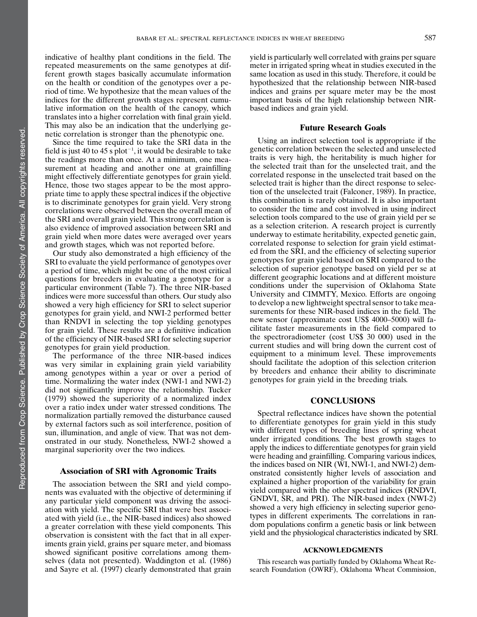indicative of healthy plant conditions in the field. The repeated measurements on the same genotypes at different growth stages basically accumulate information on the health or condition of the genotypes over a period of time. We hypothesize that the mean values of the indices for the different growth stages represent cumulative information on the health of the canopy, which translates into a higher correlation with final grain yield. This may also be an indication that the underlying genetic correlation is stronger than the phenotypic one.

Since the time required to take the SRI data in the field is just 40 to 45 s  $plot^{-1}$ , it would be desirable to take the readings more than once. At a minimum, one measurement at heading and another one at grainfilling might effectively differentiate genotypes for grain yield. Hence, those two stages appear to be the most appropriate time to apply these spectral indices if the objective is to discriminate genotypes for grain yield. Very strong correlations were observed between the overall mean of the SRI and overall grain yield. This strong correlation is also evidence of improved association between SRI and grain yield when more dates were averaged over years and growth stages, which was not reported before.

Our study also demonstrated a high efficiency of the SRI to evaluate the yield performance of genotypes over a period of time, which might be one of the most critical questions for breeders in evaluating a genotype for a particular environment (Table 7). The three NIR-based indices were more successful than others. Our study also showed a very high efficiency for SRI to select superior genotypes for grain yield, and NWI-2 performed better than RNDVI in selecting the top yielding genotypes for grain yield. These results are a definitive indication of the efficiency of NIR-based SRI for selecting superior genotypes for grain yield production.

The performance of the three NIR-based indices was very similar in explaining grain yield variability among genotypes within a year or over a period of time. Normalizing the water index (NWI-1 and NWI-2) did not significantly improve the relationship. Tucker (1979) showed the superiority of a normalized index over a ratio index under water stressed conditions. The normalization partially removed the disturbance caused by external factors such as soil interference, position of sun, illumination, and angle of view. That was not demonstrated in our study. Nonetheless, NWI-2 showed a marginal superiority over the two indices.

# Association of SRI with Agronomic Traits

The association between the SRI and yield components was evaluated with the objective of determining if any particular yield component was driving the association with yield. The specific SRI that were best associated with yield (i.e., the NIR-based indices) also showed a greater correlation with these yield components. This observation is consistent with the fact that in all experiments grain yield, grains per square meter, and biomass showed significant positive correlations among themselves (data not presented). Waddington et al. (1986) and Sayre et al. (1997) clearly demonstrated that grain yield is particularly well correlated with grains per square meter in irrigated spring wheat in studies executed in the same location as used in this study. Therefore, it could be hypothesized that the relationship between NIR-based indices and grains per square meter may be the most important basis of the high relationship between NIRbased indices and grain yield.

# Future Research Goals

Using an indirect selection tool is appropriate if the genetic correlation between the selected and unselected traits is very high, the heritability is much higher for the selected trait than for the unselected trait, and the correlated response in the unselected trait based on the selected trait is higher than the direct response to selection of the unselected trait (Falconer, 1989). In practice, this combination is rarely obtained. It is also important to consider the time and cost involved in using indirect selection tools compared to the use of grain yield per se as a selection criterion. A research project is currently underway to estimate heritability, expected genetic gain, correlated response to selection for grain yield estimated from the SRI, and the efficiency of selecting superior genotypes for grain yield based on SRI compared to the selection of superior genotype based on yield per se at different geographic locations and at different moisture conditions under the supervision of Oklahoma State University and CIMMTY, Mexico. Efforts are ongoing to develop a new lightweight spectral sensor to take measurements for these NIR-based indices in the field. The new sensor (approximate cost US\$ 4000–5000) will facilitate faster measurements in the field compared to the spectroradiometer (cost US\$ 30 000) used in the current studies and will bring down the current cost of equipment to a minimum level. These improvements should facilitate the adoption of this selection criterion by breeders and enhance their ability to discriminate genotypes for grain yield in the breeding trials.

### CONCLUSIONS

Spectral reflectance indices have shown the potential to differentiate genotypes for grain yield in this study with different types of breeding lines of spring wheat under irrigated conditions. The best growth stages to apply the indices to differentiate genotypes for grain yield were heading and grainfilling. Comparing various indices, the indices based on NIR (WI, NWI-1, and NWI-2) demonstrated consistently higher levels of association and explained a higher proportion of the variability for grain yield compared with the other spectral indices (RNDVI, GNDVI, SR, and PRI). The NIR-based index (NWI-2) showed a very high efficiency in selecting superior genotypes in different experiments. The correlations in random populations confirm a genetic basis or link between yield and the physiological characteristics indicated by SRI.

### ACKNOWLEDGMENTS

This research was partially funded by Oklahoma Wheat Research Foundation (OWRF), Oklahoma Wheat Commission,